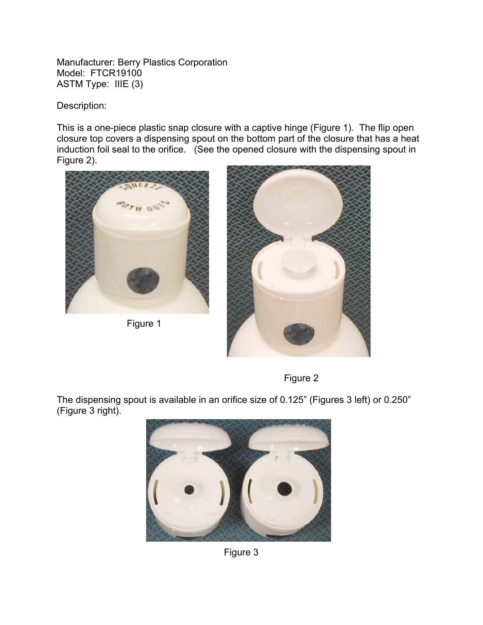Manufacturer: Berry Plastics Corporation Model: FTCR19100 ASTM Type: IIIE (3)

Description:

This is a one-piece plastic snap closure with a captive hinge (Figure 1). The flip open closure top covers a dispensing spout on the bottom part of the closure that has a heat induction foil seal to the orifice. (See the opened closure with the dispensing spout in Figure 2).



Figure 1





The dispensing spout is available in an orifice size of 0.125" (Figures 3 left) or 0.250" (Figure 3 right).